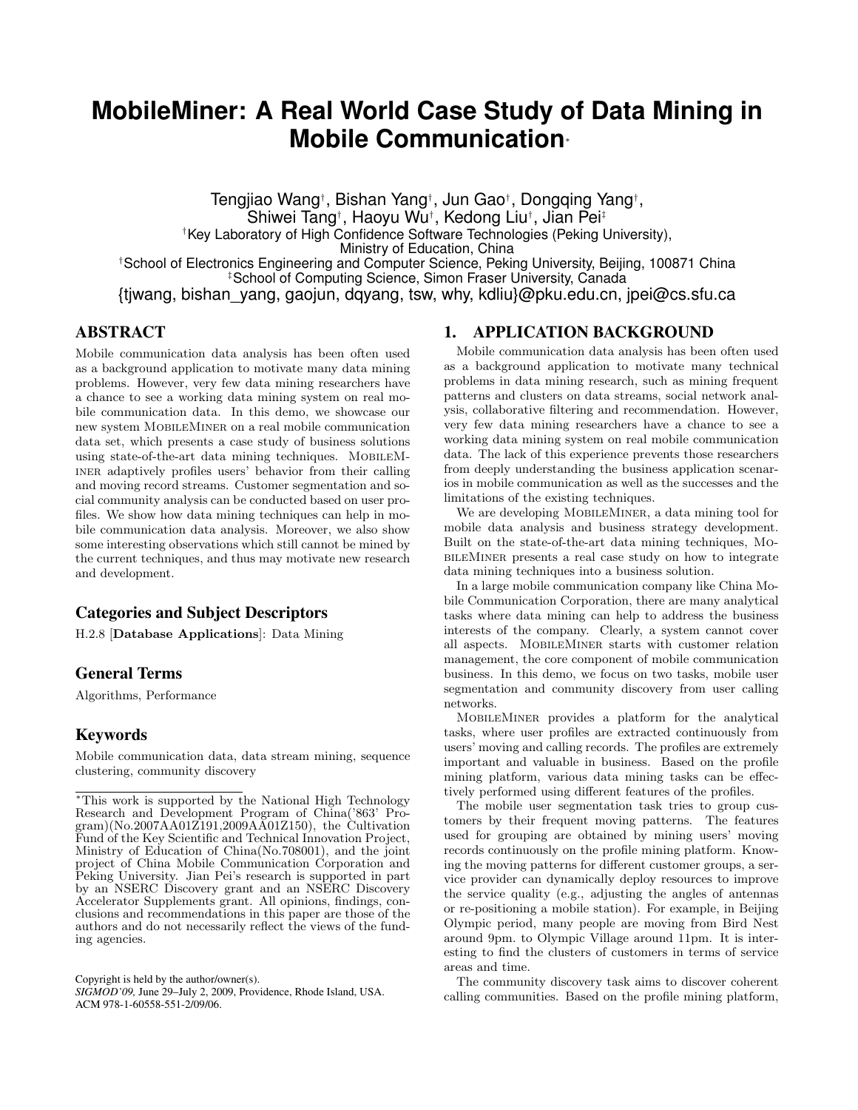# **MobileMiner: A Real World Case Study of Data Mining in Mobile Communication**<sup>∗</sup>

Tengjiao Wang† , Bishan Yang† , Jun Gao† , Dongqing Yang† , Shiwei Tang† , Haoyu Wu† , Kedong Liu† , Jian Pei‡ †Key Laboratory of High Confidence Software Technologies (Peking University), Ministry of Education, China †School of Electronics Engineering and Computer Science, Peking University, Beijing, 100871 China ‡School of Computing Science, Simon Fraser University, Canada {tjwang, bishan\_yang, gaojun, dqyang, tsw, why, kdliu}@pku.edu.cn, jpei@cs.sfu.ca

# ABSTRACT

Mobile communication data analysis has been often used as a background application to motivate many data mining problems. However, very few data mining researchers have a chance to see a working data mining system on real mobile communication data. In this demo, we showcase our new system MOBILEMINER on a real mobile communication data set, which presents a case study of business solutions using state-of-the-art data mining techniques. MobileMiner adaptively profiles users' behavior from their calling and moving record streams. Customer segmentation and social community analysis can be conducted based on user profiles. We show how data mining techniques can help in mobile communication data analysis. Moreover, we also show some interesting observations which still cannot be mined by the current techniques, and thus may motivate new research and development.

## Categories and Subject Descriptors

H.2.8 [Database Applications]: Data Mining

## General Terms

Algorithms, Performance

# Keywords

Mobile communication data, data stream mining, sequence clustering, community discovery

Copyright is held by the author/owner(s). *SIGMOD'09,* June 29–July 2, 2009, Providence, Rhode Island, USA. ACM 978-1-60558-551-2/09/06.

## 1. APPLICATION BACKGROUND

Mobile communication data analysis has been often used as a background application to motivate many technical problems in data mining research, such as mining frequent patterns and clusters on data streams, social network analysis, collaborative filtering and recommendation. However, very few data mining researchers have a chance to see a working data mining system on real mobile communication data. The lack of this experience prevents those researchers from deeply understanding the business application scenarios in mobile communication as well as the successes and the limitations of the existing techniques.

We are developing MOBILEMINER, a data mining tool for mobile data analysis and business strategy development. Built on the state-of-the-art data mining techniques, MobileMiner presents a real case study on how to integrate data mining techniques into a business solution.

In a large mobile communication company like China Mobile Communication Corporation, there are many analytical tasks where data mining can help to address the business interests of the company. Clearly, a system cannot cover all aspects. MobileMiner starts with customer relation management, the core component of mobile communication business. In this demo, we focus on two tasks, mobile user segmentation and community discovery from user calling networks.

MobileMiner provides a platform for the analytical tasks, where user profiles are extracted continuously from users' moving and calling records. The profiles are extremely important and valuable in business. Based on the profile mining platform, various data mining tasks can be effectively performed using different features of the profiles.

The mobile user segmentation task tries to group customers by their frequent moving patterns. The features used for grouping are obtained by mining users' moving records continuously on the profile mining platform. Knowing the moving patterns for different customer groups, a service provider can dynamically deploy resources to improve the service quality (e.g., adjusting the angles of antennas or re-positioning a mobile station). For example, in Beijing Olympic period, many people are moving from Bird Nest around 9pm. to Olympic Village around 11pm. It is interesting to find the clusters of customers in terms of service areas and time.

The community discovery task aims to discover coherent calling communities. Based on the profile mining platform,

<sup>∗</sup>This work is supported by the National High Technology Research and Development Program of China('863' Pro $gram)(No.2007AA01Z191,2009AA01Z150),$  the Cultivation Fund of the Key Scientific and Technical Innovation Project, Ministry of Education of China(No.708001), and the joint project of China Mobile Communication Corporation and Peking University. Jian Pei's research is supported in part by an NSERC Discovery grant and an NSERC Discovery Accelerator Supplements grant. All opinions, findings, conclusions and recommendations in this paper are those of the authors and do not necessarily reflect the views of the funding agencies.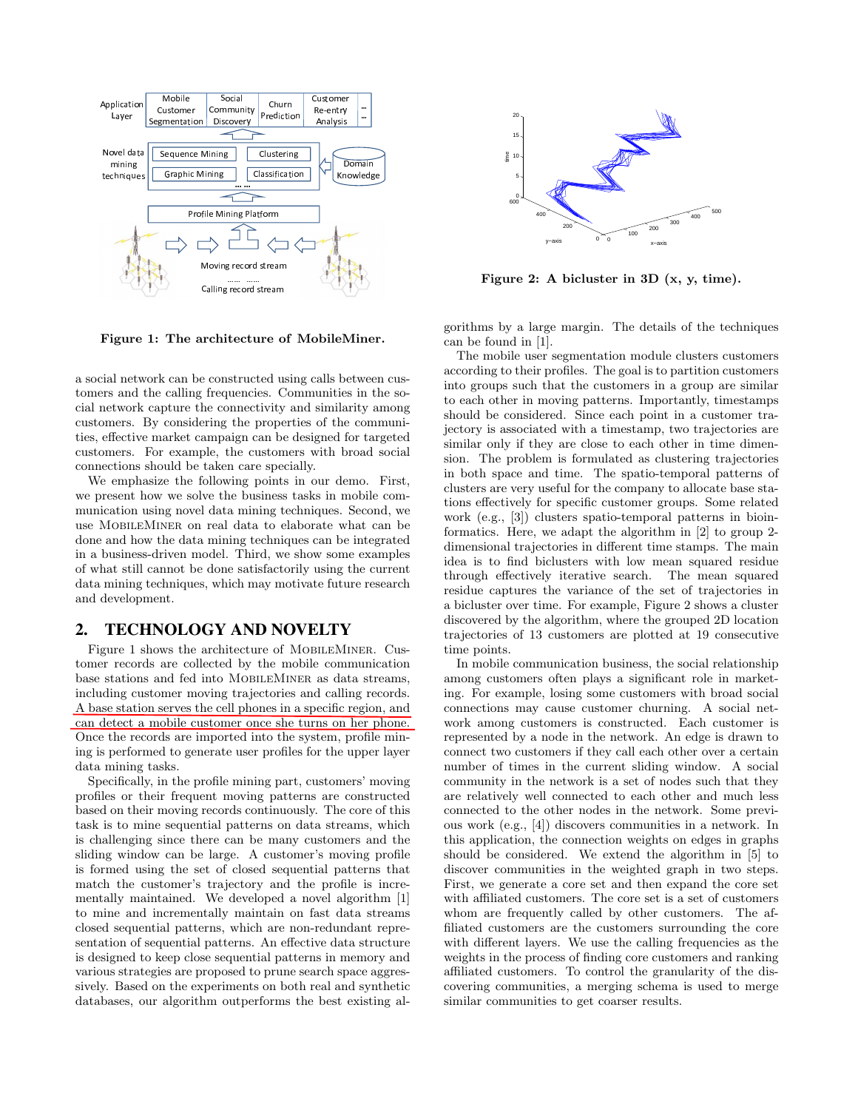

Figure 1: The architecture of MobileMiner.

a social network can be constructed using calls between customers and the calling frequencies. Communities in the social network capture the connectivity and similarity among customers. By considering the properties of the communities, effective market campaign can be designed for targeted customers. For example, the customers with broad social connections should be taken care specially.

We emphasize the following points in our demo. First, we present how we solve the business tasks in mobile communication using novel data mining techniques. Second, we use MobileMiner on real data to elaborate what can be done and how the data mining techniques can be integrated in a business-driven model. Third, we show some examples of what still cannot be done satisfactorily using the current data mining techniques, which may motivate future research and development.

#### 2. TECHNOLOGY AND NOVELTY

Figure 1 shows the architecture of MobileMiner. Customer records are collected by the mobile communication base stations and fed into MobileMiner as data streams, including customer moving trajectories and calling records. A base station serves the cell phones in a specific region, and can detect a mobile customer once she turns on her phone. Once the records are imported into the system, profile mining is performed to generate user profiles for the upper layer data mining tasks.

Specifically, in the profile mining part, customers' moving profiles or their frequent moving patterns are constructed based on their moving records continuously. The core of this task is to mine sequential patterns on data streams, which is challenging since there can be many customers and the sliding window can be large. A customer's moving profile is formed using the set of closed sequential patterns that match the customer's trajectory and the profile is incrementally maintained. We developed a novel algorithm [1] to mine and incrementally maintain on fast data streams closed sequential patterns, which are non-redundant representation of sequential patterns. An effective data structure is designed to keep close sequential patterns in memory and various strategies are proposed to prune search space aggressively. Based on the experiments on both real and synthetic databases, our algorithm outperforms the best existing al-



Figure 2: A bicluster in 3D (x, y, time).

gorithms by a large margin. The details of the techniques can be found in [1].

The mobile user segmentation module clusters customers according to their profiles. The goal is to partition customers into groups such that the customers in a group are similar to each other in moving patterns. Importantly, timestamps should be considered. Since each point in a customer trajectory is associated with a timestamp, two trajectories are similar only if they are close to each other in time dimension. The problem is formulated as clustering trajectories in both space and time. The spatio-temporal patterns of clusters are very useful for the company to allocate base stations effectively for specific customer groups. Some related work (e.g., [3]) clusters spatio-temporal patterns in bioinformatics. Here, we adapt the algorithm in [2] to group 2 dimensional trajectories in different time stamps. The main idea is to find biclusters with low mean squared residue through effectively iterative search. The mean squared residue captures the variance of the set of trajectories in a bicluster over time. For example, Figure 2 shows a cluster discovered by the algorithm, where the grouped 2D location trajectories of 13 customers are plotted at 19 consecutive time points.

In mobile communication business, the social relationship among customers often plays a significant role in marketing. For example, losing some customers with broad social connections may cause customer churning. A social network among customers is constructed. Each customer is represented by a node in the network. An edge is drawn to connect two customers if they call each other over a certain number of times in the current sliding window. A social community in the network is a set of nodes such that they are relatively well connected to each other and much less connected to the other nodes in the network. Some previous work (e.g., [4]) discovers communities in a network. In this application, the connection weights on edges in graphs should be considered. We extend the algorithm in [5] to discover communities in the weighted graph in two steps. First, we generate a core set and then expand the core set with affiliated customers. The core set is a set of customers whom are frequently called by other customers. The affiliated customers are the customers surrounding the core with different layers. We use the calling frequencies as the weights in the process of finding core customers and ranking affiliated customers. To control the granularity of the discovering communities, a merging schema is used to merge similar communities to get coarser results.